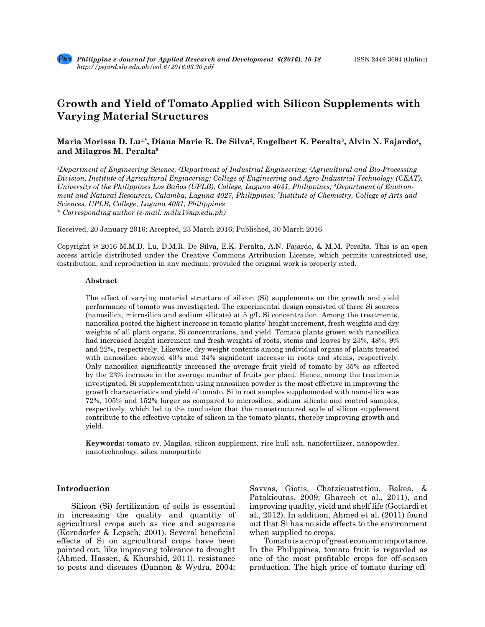# **Growth and Yield of Tomato Applied with Silicon Supplements with Varying Material Structures**

# Maria Morissa D. Lu<sup>1,\*</sup>, Diana Marie R. De Silva<sup>2</sup>, Engelbert K. Peralta<sup>3</sup>, Alvin N. Fajardo<sup>4</sup>, **and Milagros M. Peralta5**

*1 Department of Engineering Science; 2 Department of Industrial Engineering; 3 Agricultural and Bio-Processing Division, Institute of Agricultural Engineering; College of Engineering and Agro-Industrial Technology (CEAT), University of the Philippines Los Baños (UPLB), College, Laguna 4031, Philippines; 4 Department of Environment and Natural Resources, Calamba, Laguna 4027, Philippines; 5 Institute of Chemistry, College of Arts and Sciences, UPLB, College, Laguna 4031, Philippines*

*\* Corresponding author (e-mail: mdlu1@up.edu.ph)*

Received, 20 January 2016; Accepted, 23 March 2016; Published, 30 March 2016

Copyright @ 2016 M.M.D. Lu, D.M.R. De Silva, E.K. Peralta, A.N. Fajardo, & M.M. Peralta. This is an open access article distributed under the Creative Commons Attribution License, which permits unrestricted use, distribution, and reproduction in any medium, provided the original work is properly cited.

#### **Abstract**

The effect of varying material structure of silicon (Si) supplements on the growth and yield performance of tomato was investigated. The experimental design consisted of three Si sources (nanosilica, microsilica and sodium silicate) at 5 g/L Si concentration. Among the treatments, nanosilica posted the highest increase in tomato plants' height increment, fresh weights and dry weights of all plant organs, Si concentrations, and yield. Tomato plants grown with nanosilica had increased height increment and fresh weights of roots, stems and leaves by 23%, 48%, 9% and 22%, respectively. Likewise, dry weight contents among individual organs of plants treated with nanosilica showed 40% and 34% significant increase in roots and stems, respectively. Only nanosilica significantly increased the average fruit yield of tomato by 35% as affected by the 23% increase in the average number of fruits per plant. Hence, among the treatments investigated, Si supplementation using nanosilica powder is the most effective in improving the growth characteristics and yield of tomato. Si in root samples supplemented with nanosilica was 72%, 105% and 152% larger as compared to microsilica, sodium silicate and control samples, respectively, which led to the conclusion that the nanostructured scale of silicon supplement contribute to the effective uptake of silicon in the tomato plants, thereby improving growth and yield.

**Keywords:** tomato cv. Magilas, silicon supplement, rice hull ash, nanofertilizer, nanopowder, nanotechnology, silica nanoparticle

### **Introduction**

Silicon (Si) fertilization of soils is essential in increasing the quality and quantity of agricultural crops such as rice and sugarcane (Korndorfer & Lepsch, 2001). Several beneficial effects of Si on agricultural crops have been pointed out, like improving tolerance to drought (Ahmed, Hassen, & Khurshid, 2011), resistance to pests and diseases (Dannon & Wydra, 2004;

Savvas, Giotis, Chatzieustratiou, Bakea, & Patakioutas, 2009; Ghareeb et al., 2011), and improving quality, yield and shelf life (Gottardi et al., 2012). In addition, Ahmed et al. (2011) found out that Si has no side effects to the environment when supplied to crops.

Tomato is a crop of great economic importance. In the Philippines, tomato fruit is regarded as one of the most profitable crops for off-season production. The high price of tomato during off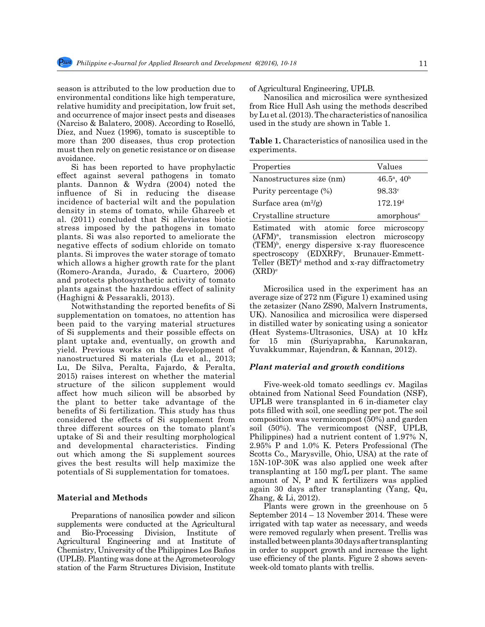season is attributed to the low production due to environmental conditions like high temperature, relative humidity and precipitation, low fruit set, and occurrence of major insect pests and diseases (Narciso & Balatero, 2008). According to Roselló, Díez, and Nuez (1996), tomato is susceptible to more than 200 diseases, thus crop protection must then rely on genetic resistance or on disease avoidance.

Si has been reported to have prophylactic effect against several pathogens in tomato plants. Dannon & Wydra (2004) noted the influence of Si in reducing the disease incidence of bacterial wilt and the population density in stems of tomato, while Ghareeb et al. (2011) concluded that Si alleviates biotic stress imposed by the pathogens in tomato plants. Si was also reported to ameliorate the negative effects of sodium chloride on tomato plants. Si improves the water storage of tomato which allows a higher growth rate for the plant (Romero-Aranda, Jurado, & Cuartero, 2006) and protects photosynthetic activity of tomato plants against the hazardous effect of salinity (Haghigni & Pessarakli, 2013).

Notwithstanding the reported benefits of Si supplementation on tomatoes, no attention has been paid to the varying material structures of Si supplements and their possible effects on plant uptake and, eventually, on growth and yield. Previous works on the development of nanostructured Si materials (Lu et al., 2013; Lu, De Silva, Peralta, Fajardo, & Peralta, 2015) raises interest on whether the material structure of the silicon supplement would affect how much silicon will be absorbed by the plant to better take advantage of the benefits of Si fertilization. This study has thus considered the effects of Si supplement from three different sources on the tomato plant's uptake of Si and their resulting morphological and developmental characteristics. Finding out which among the Si supplement sources gives the best results will help maximize the potentials of Si supplementation for tomatoes.

# **Material and Methods**

Preparations of nanosilica powder and silicon supplements were conducted at the Agricultural and Bio-Processing Division, Institute of Agricultural Engineering and at Institute of Chemistry, University of the Philippines Los Baños (UPLB). Planting was done at the Agrometeorology station of the Farm Structures Division, Institute of Agricultural Engineering, UPLB.

Nanosilica and microsilica were synthesized from Rice Hull Ash using the methods described by Lu et al. (2013). The characteristics of nanosilica used in the study are shown in Table 1.

**Table 1.** Characteristics of nanosilica used in the experiments.

| Properties                                                | Values              |  |  |  |
|-----------------------------------------------------------|---------------------|--|--|--|
| $46.5^{\rm a}$ , $40^{\rm b}$<br>Nanostructures size (nm) |                     |  |  |  |
| Purity percentage (%)                                     | 98.33c              |  |  |  |
| Surface area $(m^2/g)$                                    | 172.19 <sup>d</sup> |  |  |  |
| amorphous <sup>e</sup><br>Crystalline structure           |                     |  |  |  |
| Estimated with atomic force microscopy                    |                     |  |  |  |

(AFM)a , transmission electron microscopy (TEM)b , energy dispersive x-ray fluorescence  $spectroscopy$   $(EDXRF)^c$ , Brunauer-Emmett-Teller  $(BET)^d$  method and x-ray diffractometry  $(XRD)^e$ 

Microsilica used in the experiment has an average size of 272 nm (Figure 1) examined using the zetasizer (Nano ZS90, Malvern Instruments, UK). Nanosilica and microsilica were dispersed in distilled water by sonicating using a sonicator (Heat Systems-Ultrasonics, USA) at 10 kHz for 15 min (Suriyaprabha, Karunakaran, Yuvakkummar, Rajendran, & Kannan, 2012).

#### *Plant material and growth conditions*

Five-week-old tomato seedlings cv. Magilas obtained from National Seed Foundation (NSF), UPLB were transplanted in 6 in-diameter clay pots filled with soil, one seedling per pot. The soil composition was vermicompost (50%) and garden soil (50%). The vermicompost (NSF, UPLB, Philippines) had a nutrient content of 1.97% N, 2.95% P and 1.0% K. Peters Professional (The Scotts Co., Marysville, Ohio, USA) at the rate of 15N-10P-30K was also applied one week after transplanting at 150 mg/L per plant. The same amount of  $N$ ,  $P$  and  $K$  fertilizers was applied again 30 days after transplanting (Yang, Qu, Zhang, & Li, 2012).

Plants were grown in the greenhouse on 5 September 2014 – 13 November 2014. These were irrigated with tap water as necessary, and weeds were removed regularly when present. Trellis was installed between plants 30 days after transplanting in order to support growth and increase the light use efficiency of the plants. Figure 2 shows sevenweek-old tomato plants with trellis.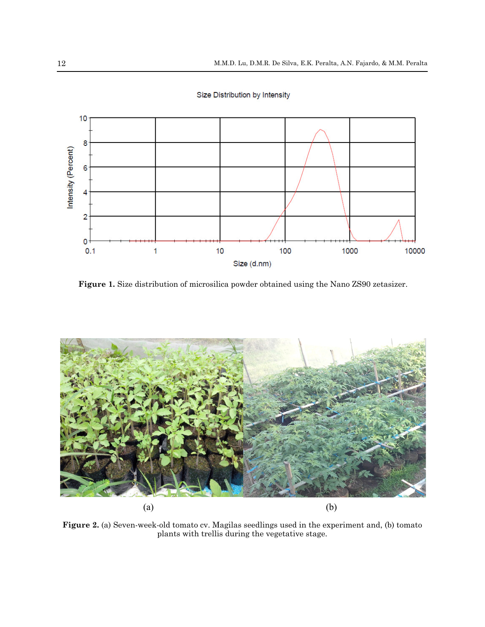

Size Distribution by Intensity

**Figure 1.** Size distribution of microsilica powder obtained using the Nano ZS90 zetasizer.



**Figure 2.** (a) Seven-week-old tomato cv. Magilas seedlings used in the experiment and, (b) tomato plants with trellis during the vegetative stage.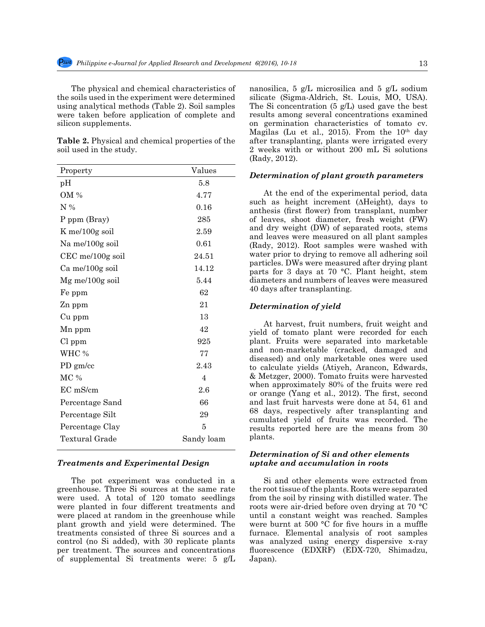The physical and chemical characteristics of the soils used in the experiment were determined using analytical methods (Table 2). Soil samples were taken before application of complete and silicon supplements.

**Table 2.** Physical and chemical properties of the soil used in the study.

| pH                 | 5.8            |
|--------------------|----------------|
| OM %               | 4.77           |
| $N\%$              | 0.16           |
| P ppm (Bray)       | 285            |
| $K$ me/100g soil   | 2.59           |
| Na me/100g soil    | 0.61           |
| $CEC$ me/100g soil | 24.51          |
| Ca me/100g soil    | 14.12          |
| $Mg$ me/100g soil  | 5.44           |
| Fe ppm             | 62             |
| Zn ppm             | 21             |
| Cu ppm             | 13             |
| Mn ppm             | 42             |
| $Cl$ ppm           | 925            |
| WHC %              | 77             |
| $PD$ gm/cc         | 2.43           |
| MC %               | $\overline{4}$ |
| EC mS/cm           | 2.6            |
| Percentage Sand    | 66             |
| Percentage Silt    | 29             |
| Percentage Clay    | 5              |
| Textural Grade     | Sandy loam     |

# *Treatments and Experimental Design*

The pot experiment was conducted in a greenhouse. Three Si sources at the same rate were used. A total of 120 tomato seedlings were planted in four different treatments and were placed at random in the greenhouse while plant growth and yield were determined. The treatments consisted of three Si sources and a control (no Si added), with 30 replicate plants per treatment. The sources and concentrations of supplemental Si treatments were: 5 g/L nanosilica, 5 g/L microsilica and 5 g/L sodium silicate (Sigma-Aldrich, St. Louis, MO, USA). The Si concentration (5 g/L) used gave the best results among several concentrations examined on germination characteristics of tomato cv. Magilas (Lu et al., 2015). From the  $10<sup>th</sup>$  day after transplanting, plants were irrigated every 2 weeks with or without 200 mL Si solutions (Rady, 2012).

### *Determination of plant growth parameters*

At the end of the experimental period, data such as height increment (∆Height), days to anthesis (first flower) from transplant, number of leaves, shoot diameter, fresh weight (FW) and dry weight (DW) of separated roots, stems and leaves were measured on all plant samples (Rady, 2012). Root samples were washed with water prior to drying to remove all adhering soil particles. DWs were measured after drying plant parts for 3 days at 70 °C. Plant height, stem diameters and numbers of leaves were measured 40 days after transplanting.

# *Determination of yield*

At harvest, fruit numbers, fruit weight and yield of tomato plant were recorded for each plant. Fruits were separated into marketable and non-marketable (cracked, damaged and diseased) and only marketable ones were used to calculate yields (Atiyeh, Arancon, Edwards, & Metzger, 2000). Tomato fruits were harvested when approximately 80% of the fruits were red or orange (Yang et al., 2012). The first, second and last fruit harvests were done at 54, 61 and 68 days, respectively after transplanting and cumulated yield of fruits was recorded. The results reported here are the means from 30 plants.

# *Determination of Si and other elements uptake and accumulation in roots*

Si and other elements were extracted from the root tissue of the plants. Roots were separated from the soil by rinsing with distilled water. The roots were air-dried before oven drying at 70 °C until a constant weight was reached. Samples were burnt at 500 °C for five hours in a muffle furnace. Elemental analysis of root samples was analyzed using energy dispersive x-ray fluorescence (EDXRF) (EDX-720, Shimadzu, Japan).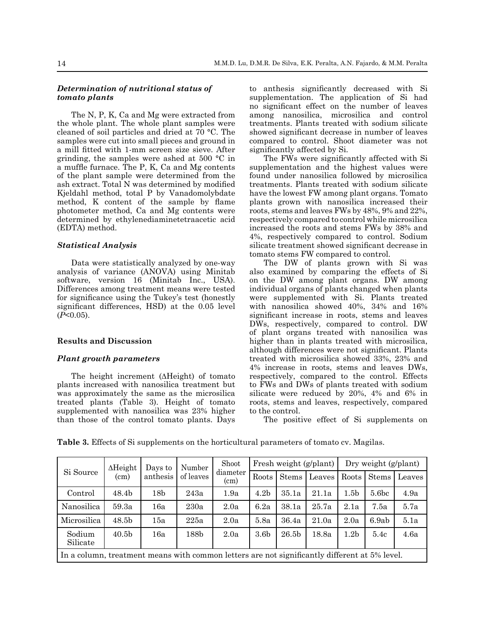# *Determination of nutritional status of tomato plants*

The N, P, K, Ca and Mg were extracted from the whole plant. The whole plant samples were cleaned of soil particles and dried at 70 °C. The samples were cut into small pieces and ground in a mill fitted with 1-mm screen size sieve. After grinding, the samples were ashed at 500 °C in a muffle furnace. The P, K, Ca and Mg contents of the plant sample were determined from the ash extract. Total N was determined by modified Kjeldahl method, total P by Vanadomolybdate method, K content of the sample by flame photometer method, Ca and Mg contents were determined by ethylenediaminetetraacetic acid (EDTA) method.

# *Statistical Analysis*

Data were statistically analyzed by one-way analysis of variance (ANOVA) using Minitab software, version 16 (Minitab Inc., USA). Differences among treatment means were tested for significance using the Tukey's test (honestly significant differences, HSD) at the 0.05 level (*P*<0.05).

### **Results and Discussion**

#### *Plant growth parameters*

The height increment (∆Height) of tomato plants increased with nanosilica treatment but was approximately the same as the microsilica treated plants (Table 3). Height of tomato supplemented with nanosilica was 23% higher than those of the control tomato plants. Days to anthesis significantly decreased with Si supplementation. The application of Si had no significant effect on the number of leaves among nanosilica, microsilica and control treatments. Plants treated with sodium silicate showed significant decrease in number of leaves compared to control. Shoot diameter was not significantly affected by Si.

The FWs were significantly affected with Si supplementation and the highest values were found under nanosilica followed by microsilica treatments. Plants treated with sodium silicate have the lowest FW among plant organs. Tomato plants grown with nanosilica increased their roots, stems and leaves FWs by 48%, 9% and 22%, respectively compared to control while microsilica increased the roots and stems FWs by 38% and 4%, respectively compared to control. Sodium silicate treatment showed significant decrease in tomato stems FW compared to control.

The DW of plants grown with Si was also examined by comparing the effects of Si on the DW among plant organs. DW among individual organs of plants changed when plants were supplemented with Si. Plants treated with nanosilica showed 40%, 34% and 16% significant increase in roots, stems and leaves DWs, respectively, compared to control. DW of plant organs treated with nanosilica was higher than in plants treated with microsilica, although differences were not significant. Plants treated with microsilica showed 33%, 23% and 4% increase in roots, stems and leaves DWs, respectively, compared to the control. Effects to FWs and DWs of plants treated with sodium silicate were reduced by 20%, 4% and 6% in roots, stems and leaves, respectively, compared to the control.

The positive effect of Si supplements on

**Table 3.** Effects of Si supplements on the horticultural parameters of tomato cv. Magilas.

| Si Source                                                                                     | $\Delta$ Height<br>Days to<br>anthesis<br>(cm) | Number          | Shoot     | Fresh weight (g/plant) |                  |                   | Dry weight (g/plant) |                  |                   |        |
|-----------------------------------------------------------------------------------------------|------------------------------------------------|-----------------|-----------|------------------------|------------------|-------------------|----------------------|------------------|-------------------|--------|
|                                                                                               |                                                |                 | of leaves | diameter<br>(cm)       | Roots            | <b>Stems</b>      | Leaves               | Roots            | <b>Stems</b>      | Leaves |
| Control                                                                                       | 48.4b                                          | 18 <sub>b</sub> | 243a      | 1.9a                   | 4.2 <sub>b</sub> | 35.1a             | 21.1a                | 1.5 <sub>b</sub> | 5.6 <sub>bc</sub> | 4.9a   |
| Nanosilica                                                                                    | 59.3a                                          | 16a             | 230a      | 2.0a                   | 6.2a             | 38.1a             | 25.7a                | 2.1a             | 7.5a              | 5.7a   |
| Microsilica                                                                                   | 48.5 <sub>b</sub>                              | 15a             | 225a      | 2.0a                   | 5.8a             | 36.4a             | 21.0a                | 2.0a             | 6.9ab             | 5.1a   |
| Sodium<br>Silicate                                                                            | 40.5 <sub>b</sub>                              | 16a             | 188b      | 2.0a                   | 3.6 <sub>b</sub> | 26.5 <sub>b</sub> | 18.8a                | 1.2 <sub>b</sub> | 5.4c              | 4.6a   |
| In a column, treatment means with common letters are not significantly different at 5% level. |                                                |                 |           |                        |                  |                   |                      |                  |                   |        |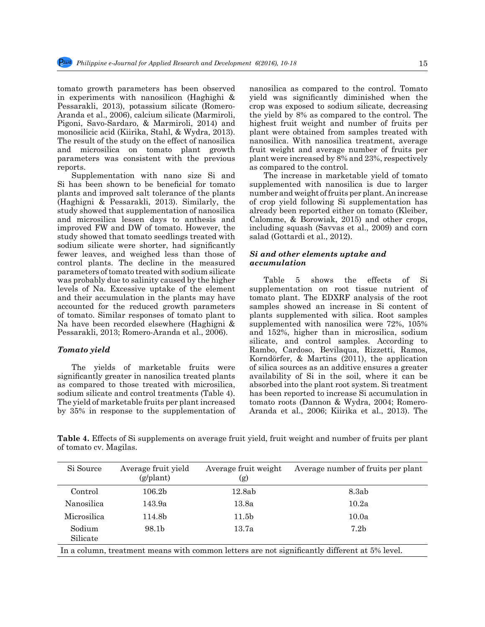tomato growth parameters has been observed in experiments with nanosilicon (Haghighi & Pessarakli, 2013), potassium silicate (Romero-Aranda et al., 2006), calcium silicate (Marmiroli, Pigoni, Savo-Sardaro, & Marmiroli, 2014) and monosilicic acid (Kiirika, Stahl, & Wydra, 2013). The result of the study on the effect of nanosilica and microsilica on tomato plant growth parameters was consistent with the previous reports.

Supplementation with nano size Si and Si has been shown to be beneficial for tomato plants and improved salt tolerance of the plants (Haghigni & Pessarakli, 2013). Similarly, the study showed that supplementation of nanosilica and microsilica lessen days to anthesis and improved FW and DW of tomato. However, the study showed that tomato seedlings treated with sodium silicate were shorter, had significantly fewer leaves, and weighed less than those of control plants. The decline in the measured parameters of tomato treated with sodium silicate was probably due to salinity caused by the higher levels of Na. Excessive uptake of the element and their accumulation in the plants may have accounted for the reduced growth parameters of tomato. Similar responses of tomato plant to Na have been recorded elsewhere (Haghigni & Pessarakli, 2013; Romero-Aranda et al., 2006).

### *Tomato yield*

The yields of marketable fruits were significantly greater in nanosilica treated plants as compared to those treated with microsilica, sodium silicate and control treatments (Table 4). The yield of marketable fruits per plant increased by 35% in response to the supplementation of nanosilica as compared to the control. Tomato yield was significantly diminished when the crop was exposed to sodium silicate, decreasing the yield by 8% as compared to the control. The highest fruit weight and number of fruits per plant were obtained from samples treated with nanosilica. With nanosilica treatment, average fruit weight and average number of fruits per plant were increased by 8% and 23%, respectively as compared to the control.

The increase in marketable yield of tomato supplemented with nanosilica is due to larger number and weight of fruits per plant. An increase of crop yield following Si supplementation has already been reported either on tomato (Kleiber, Calomme, & Borowiak, 2015) and other crops, including squash (Savvas et al., 2009) and corn salad (Gottardi et al., 2012).

# *Si and other elements uptake and accumulation*

Table 5 shows the effects of Si supplementation on root tissue nutrient of tomato plant. The EDXRF analysis of the root samples showed an increase in Si content of plants supplemented with silica. Root samples supplemented with nanosilica were 72%, 105% and 152%, higher than in microsilica, sodium silicate, and control samples. According to Rambo, Cardoso, Bevilaqua, Rizzetti, Ramos, Korndörfer, & Martins (2011), the application of silica sources as an additive ensures a greater availability of Si in the soil, where it can be absorbed into the plant root system. Si treatment has been reported to increase Si accumulation in tomato roots (Dannon & Wydra, 2004; Romero-Aranda et al., 2006; Kiirika et al., 2013). The

**Table 4.** Effects of Si supplements on average fruit yield, fruit weight and number of fruits per plant of tomato cv. Magilas.

| Si Source                                                                                     | Average fruit yield<br>$(g/\text{plant})$ | Average fruit weight<br>(g) | Average number of fruits per plant |  |  |  |
|-----------------------------------------------------------------------------------------------|-------------------------------------------|-----------------------------|------------------------------------|--|--|--|
|                                                                                               |                                           |                             |                                    |  |  |  |
| Control                                                                                       | 106.2 <sub>b</sub>                        | 12.8ab                      | 8.3ab                              |  |  |  |
| Nanosilica                                                                                    | 143.9a                                    | 13.8a                       | 10.2a                              |  |  |  |
| Microsilica                                                                                   | 114.8b                                    | 11.5 <sub>b</sub>           | 10.0a                              |  |  |  |
| Sodium<br>Silicate                                                                            | 98.1b                                     | 13.7a                       | 7.2 <sub>b</sub>                   |  |  |  |
| In a column, treatment means with common letters are not significantly different at 5% level. |                                           |                             |                                    |  |  |  |

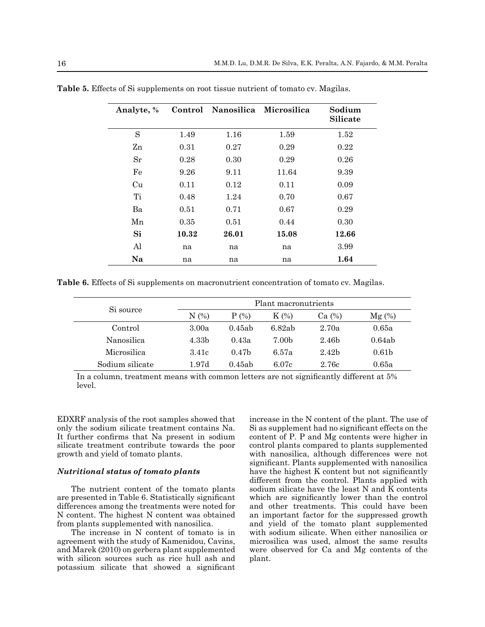| Analyte, % |       | Control Nanosilica Microsilica |       | Sodium<br><b>Silicate</b> |
|------------|-------|--------------------------------|-------|---------------------------|
| S          | 1.49  | 1.16                           | 1.59  | 1.52                      |
| Zn         | 0.31  | 0.27                           | 0.29  | 0.22                      |
| $S_{r}$    | 0.28  | 0.30                           | 0.29  | 0.26                      |
| Fe         | 9.26  | 9.11                           | 11.64 | 9.39                      |
| Cu         | 0.11  | 0.12                           | 0.11  | 0.09                      |
| Ti         | 0.48  | 1.24                           | 0.70  | 0.67                      |
| Ba         | 0.51  | 0.71                           | 0.67  | 0.29                      |
| Mn         | 0.35  | 0.51                           | 0.44  | 0.30                      |
| Si         | 10.32 | 26.01                          | 15.08 | 12.66                     |
| Al         | na    | na                             | na    | 3.99                      |
| Na         | na    | na                             | na    | 1.64                      |

**Table 5.** Effects of Si supplements on root tissue nutrient of tomato cv. Magilas.

**Table 6.** Effects of Si supplements on macronutrient concentration of tomato cv. Magilas.

| Si source       | Plant macronutrients |                   |                   |                   |                   |  |
|-----------------|----------------------|-------------------|-------------------|-------------------|-------------------|--|
|                 | N(%)                 | $P(\%)$           | $K(\%)$           | Ca (%)            | $Mg(\%)$          |  |
| Control         | 3.00a                | 0.45ab            | 6.82ab            | 2.70a             | 0.65a             |  |
| Nanosilica      | 4.33 <sub>b</sub>    | 0.43a             | 7.00 <sub>b</sub> | 2.46 <sub>b</sub> | 0.64ab            |  |
| Microsilica     | 3.41c                | 0.47 <sub>b</sub> | 6.57a             | 2.42 <sub>b</sub> | 0.61 <sub>b</sub> |  |
| Sodium silicate | 1.97d                | 0.45ab            | 6.07c             | 2.76c             | 0.65a             |  |

In a column, treatment means with common letters are not significantly different at 5% level.

EDXRF analysis of the root samples showed that only the sodium silicate treatment contains Na. It further confirms that Na present in sodium silicate treatment contribute towards the poor growth and yield of tomato plants.

# *Nutritional status of tomato plants*

The nutrient content of the tomato plants are presented in Table 6. Statistically significant differences among the treatments were noted for N content. The highest N content was obtained from plants supplemented with nanosilica.

The increase in N content of tomato is in agreement with the study of Kamenidou, Cavins, and Marek (2010) on gerbera plant supplemented with silicon sources such as rice hull ash and potassium silicate that showed a significant increase in the N content of the plant. The use of Si as supplement had no significant effects on the content of P. P and Mg contents were higher in control plants compared to plants supplemented with nanosilica, although differences were not significant. Plants supplemented with nanosilica have the highest K content but not significantly different from the control. Plants applied with sodium silicate have the least N and K contents which are significantly lower than the control and other treatments. This could have been an important factor for the suppressed growth and yield of the tomato plant supplemented with sodium silicate. When either nanosilica or microsilica was used, almost the same results were observed for Ca and Mg contents of the plant.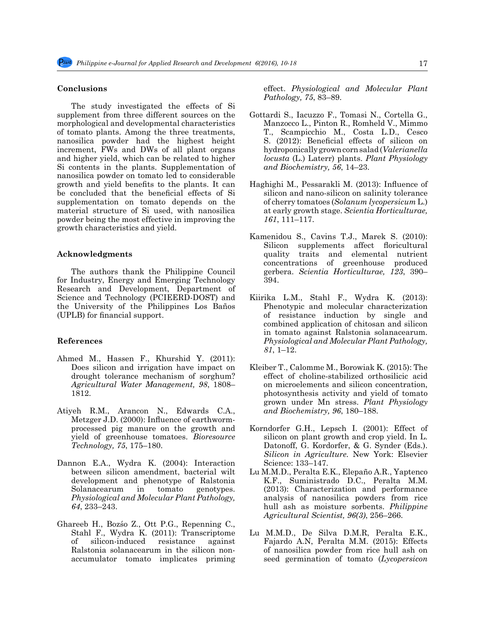#### **Conclusions**

The study investigated the effects of Si supplement from three different sources on the morphological and developmental characteristics of tomato plants. Among the three treatments, nanosilica powder had the highest height increment, FWs and DWs of all plant organs and higher yield, which can be related to higher Si contents in the plants. Supplementation of nanosilica powder on tomato led to considerable growth and yield benefits to the plants. It can be concluded that the beneficial effects of Si supplementation on tomato depends on the material structure of Si used, with nanosilica powder being the most effective in improving the growth characteristics and yield.

#### **Acknowledgments**

The authors thank the Philippine Council for Industry, Energy and Emerging Technology Research and Development, Department of Science and Technology (PCIEERD-DOST) and the University of the Philippines Los Baños (UPLB) for financial support.

### **References**

- Ahmed M., Hassen F., Khurshid Y. (2011): Does silicon and irrigation have impact on drought tolerance mechanism of sorghum? *Agricultural Water Management, 98*, 1808– 1812.
- Atiyeh R.M., Arancon N., Edwards C.A., Metzger J.D. (2000): Influence of earthwormprocessed pig manure on the growth and yield of greenhouse tomatoes. *Bioresource Technology, 75*, 175–180.
- Dannon E.A., Wydra K. (2004): Interaction between silicon amendment, bacterial wilt development and phenotype of Ralstonia Solanacearum in tomato genotypes. *Physiological and Molecular Plant Pathology, 64*, 233–243.
- Ghareeb H., Bozśo Z., Ott P.G., Repenning C., Stahl F., Wydra K. (2011): Transcriptome of silicon-induced resistance against Ralstonia solanacearum in the silicon nonaccumulator tomato implicates priming

effect. *Physiological and Molecular Plant Pathology, 75*, 83–89.

- Gottardi S., Iacuzzo F., Tomasi N., Cortella G., Manzocco L., Pinton R., Romheld V., Mimmo T., Scampicchio M., Costa L.D., Cesco S. (2012): Beneficial effects of silicon on hydroponically grown corn salad (*Valerianella locusta* (L.) Laterr) plants. *Plant Physiology and Biochemistry, 56*, 14–23.
- Haghighi M., Pessarakli M. (2013): Influence of silicon and nano-silicon on salinity tolerance of cherry tomatoes (*Solanum lycopersicum* L.) at early growth stage. *Scientia Horticulturae, 161*, 111–117.
- Kamenidou S., Cavins T.J., Marek S. (2010): Silicon supplements affect floricultural quality traits and elemental nutrient concentrations of greenhouse produced gerbera. *Scientia Horticulturae, 123*, 390– 394.
- Kiirika L.M., Stahl F., Wydra K. (2013): Phenotypic and molecular characterization of resistance induction by single and combined application of chitosan and silicon in tomato against Ralstonia solanacearum. *Physiological and Molecular Plant Pathology, 81*, 1–12.
- Kleiber T., Calomme M., Borowiak K. (2015): The effect of choline-stabilized orthosilicic acid on microelements and silicon concentration, photosynthesis activity and yield of tomato grown under Mn stress. *Plant Physiology and Biochemistry, 96*, 180–188.
- Korndorfer G.H., Lepsch I. (2001): Effect of silicon on plant growth and crop yield. In L. Datonoff, G. Kordorfer, & G. Synder (Eds.). *Silicon in Agriculture.* New York: Elsevier Science: 133–147.
- Lu M.M.D., Peralta E.K., Elepaño A.R., Yaptenco K.F., Suministrado D.C., Peralta M.M. (2013): Characterization and performance analysis of nanosilica powders from rice hull ash as moisture sorbents. *Philippine Agricultural Scientist, 96(3)*, 256–266.
- Lu M.M.D., De Silva D.M.R, Peralta E.K., Fajardo A.N, Peralta M.M. (2015): Effects of nanosilica powder from rice hull ash on seed germination of tomato (*Lycopersicon*